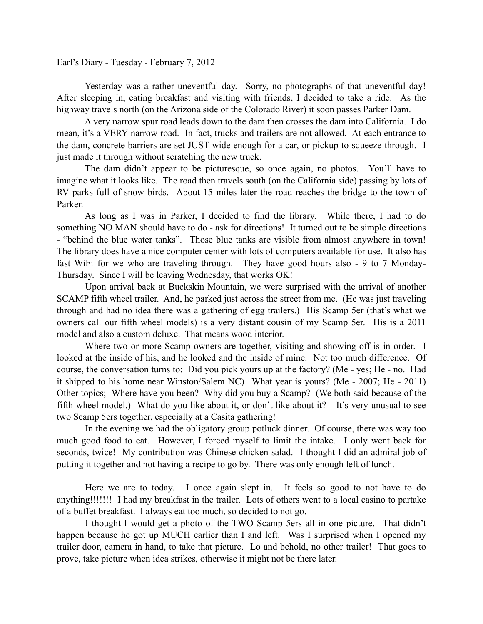Earl's Diary - Tuesday - February 7, 2012

 Yesterday was a rather uneventful day. Sorry, no photographs of that uneventful day! After sleeping in, eating breakfast and visiting with friends, I decided to take a ride. As the highway travels north (on the Arizona side of the Colorado River) it soon passes Parker Dam.

 A very narrow spur road leads down to the dam then crosses the dam into California. I do mean, it's a VERY narrow road. In fact, trucks and trailers are not allowed. At each entrance to the dam, concrete barriers are set JUST wide enough for a car, or pickup to squeeze through. I just made it through without scratching the new truck.

 The dam didn't appear to be picturesque, so once again, no photos. You'll have to imagine what it looks like. The road then travels south (on the California side) passing by lots of RV parks full of snow birds. About 15 miles later the road reaches the bridge to the town of Parker.

 As long as I was in Parker, I decided to find the library. While there, I had to do something NO MAN should have to do - ask for directions! It turned out to be simple directions - "behind the blue water tanks". Those blue tanks are visible from almost anywhere in town! The library does have a nice computer center with lots of computers available for use. It also has fast WiFi for we who are traveling through. They have good hours also - 9 to 7 Monday-Thursday. Since I will be leaving Wednesday, that works OK!

 Upon arrival back at Buckskin Mountain, we were surprised with the arrival of another SCAMP fifth wheel trailer. And, he parked just across the street from me. (He was just traveling through and had no idea there was a gathering of egg trailers.) His Scamp 5er (that's what we owners call our fifth wheel models) is a very distant cousin of my Scamp 5er. His is a 2011 model and also a custom deluxe. That means wood interior.

 Where two or more Scamp owners are together, visiting and showing off is in order. I looked at the inside of his, and he looked and the inside of mine. Not too much difference. Of course, the conversation turns to: Did you pick yours up at the factory? (Me - yes; He - no. Had it shipped to his home near Winston/Salem NC) What year is yours? (Me - 2007; He - 2011) Other topics; Where have you been? Why did you buy a Scamp? (We both said because of the fifth wheel model.) What do you like about it, or don't like about it? It's very unusual to see two Scamp 5ers together, especially at a Casita gathering!

 In the evening we had the obligatory group potluck dinner. Of course, there was way too much good food to eat. However, I forced myself to limit the intake. I only went back for seconds, twice! My contribution was Chinese chicken salad. I thought I did an admiral job of putting it together and not having a recipe to go by. There was only enough left of lunch.

 Here we are to today. I once again slept in. It feels so good to not have to do anything!!!!!!! I had my breakfast in the trailer. Lots of others went to a local casino to partake of a buffet breakfast. I always eat too much, so decided to not go.

 I thought I would get a photo of the TWO Scamp 5ers all in one picture. That didn't happen because he got up MUCH earlier than I and left. Was I surprised when I opened my trailer door, camera in hand, to take that picture. Lo and behold, no other trailer! That goes to prove, take picture when idea strikes, otherwise it might not be there later.